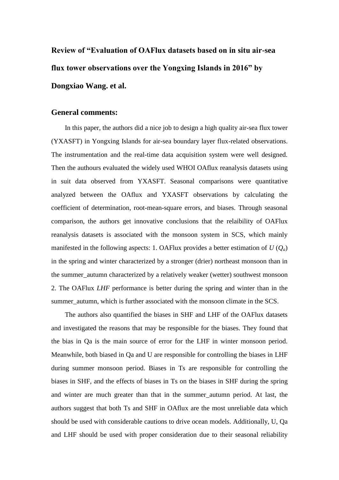**Review of "Evaluation of OAFlux datasets based on in situ air-sea flux tower observations over the Yongxing Islands in 2016" by Dongxiao Wang. et al.**

## **General comments:**

In this paper, the authors did a nice job to design a high quality air-sea flux tower (YXASFT) in Yongxing Islands for air-sea boundary layer flux-related observations. The instrumentation and the real-time data acquisition system were well designed. Then the authours evaluated the widely used WHOI OAflux reanalysis datasets using in suit data observed from YXASFT. Seasonal comparisons were quantitative analyzed between the OAflux and YXASFT observations by calculating the coefficient of determination, root-mean-square errors, and biases. Through seasonal comparison, the authors get innovative conclusions that the relaibility of OAFlux reanalysis datasets is associated with the monsoon system in SCS, which mainly manifested in the following aspects: 1. OAFlux provides a better estimation of  $U(Q_a)$ in the spring and winter characterized by a stronger (drier) northeast monsoon than in the summer\_autumn characterized by a relatively weaker (wetter) southwest monsoon 2. The OAFlux *LHF* performance is better during the spring and winter than in the summer autumn, which is further associated with the monsoon climate in the SCS.

The authors also quantified the biases in SHF and LHF of the OAFlux datasets and investigated the reasons that may be responsible for the biases. They found that the bias in Qa is the main source of error for the LHF in winter monsoon period. Meanwhile, both biased in Qa and U are responsible for controlling the biases in LHF during summer monsoon period. Biases in Ts are responsible for controlling the biases in SHF, and the effects of biases in Ts on the biases in SHF during the spring and winter are much greater than that in the summer\_autumn period. At last, the authors suggest that both Ts and SHF in OAflux are the most unreliable data which should be used with considerable cautions to drive ocean models. Additionally, U, Qa and LHF should be used with proper consideration due to their seasonal reliability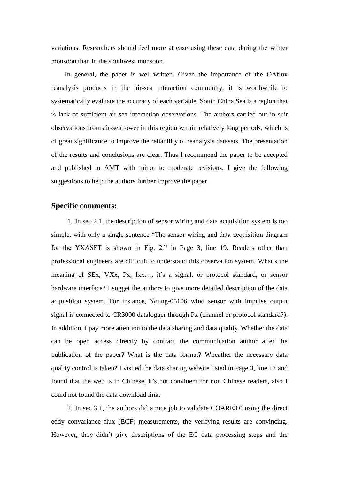variations. Researchers should feel more at ease using these data during the winter monsoon than in the southwest monsoon.

In general, the paper is well-written. Given the importance of the OAflux reanalysis products in the air-sea interaction community, it is worthwhile to systematically evaluate the accuracy of each variable. South China Sea is a region that is lack of sufficient air-sea interaction observations. The authors carried out in suit observations from air-sea tower in this region within relatively long periods, which is of great significance to improve the reliability of reanalysis datasets. The presentation of the results and conclusions are clear. Thus I recommend the paper to be accepted and published in AMT with minor to moderate revisions. I give the following suggestions to help the authors further improve the paper.

## **Specific comments:**

1. In sec 2.1, the description of sensor wiring and data acquisition system is too simple, with only a single sentence "The sensor wiring and data acquisition diagram for the YXASFT is shown in Fig. 2." in Page 3, line 19. Readers other than professional engineers are difficult to understand this observation system. What's the meaning of SEx, VXx, Px, Ixx…, it's a signal, or protocol standard, or sensor hardware interface? I sugget the authors to give more detailed description of the data acquisition system. For instance, Young-05106 wind sensor with impulse output signal is connected to CR3000 datalogger through Px (channel or protocol standard?). In addition, I pay more attention to the data sharing and data quality. Whether the data can be open access directly by contract the communication author after the publication of the paper? What is the data format? Wheather the necessary data quality control is taken? I visited the data sharing website listed in Page 3, line 17 and found that the web is in Chinese, it's not convinent for non Chinese readers, also I could not found the data download link.

2. In sec 3.1, the authors did a nice job to validate COARE3.0 using the direct eddy convariance flux (ECF) measurements, the verifying results are convincing. However, they didn't give descriptions of the EC data processing steps and the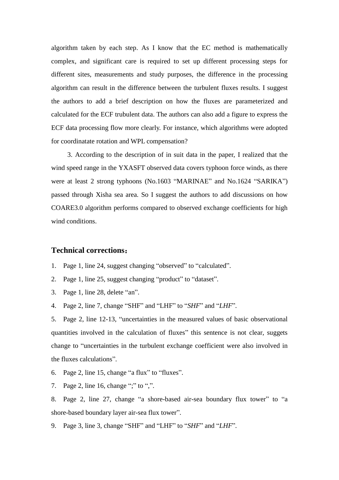algorithm taken by each step. As I know that the EC method is mathematically complex, and significant care is required to set up different processing steps for different sites, measurements and study purposes, the difference in the processing algorithm can result in the difference between the turbulent fluxes results. I suggest the authors to add a brief description on how the fluxes are parameterized and calculated for the ECF trubulent data. The authors can also add a figure to express the ECF data processing flow more clearly. For instance, which algorithms were adopted for coordinatate rotation and WPL compensation?

3. According to the description of in suit data in the paper, I realized that the wind speed range in the YXASFT observed data covers typhoon force winds, as there were at least 2 strong typhoons (No.1603 "MARINAE" and No.1624 "SARIKA") passed through Xisha sea area. So I suggest the authors to add discussions on how COARE3.0 algorithm performs compared to observed exchange coefficients for high wind conditions.

## **Technical corrections**:

- 1. Page 1, line 24, suggest changing "observed" to "calculated".
- 2. Page 1, line 25, suggest changing "product" to "dataset".
- 3. Page 1, line 28, delete "an".
- 4. Page 2, line 7, change "SHF" and "LHF" to "*SHF*" and "*LHF*".

5. Page 2, line 12-13, "uncertainties in the measured values of basic observational quantities involved in the calculation of fluxes" this sentence is not clear, suggets change to "uncertainties in the turbulent exchange coefficient were also involved in the fluxes calculations".

- 6. Page 2, line 15, change "a flux" to "fluxes".
- 7. Page 2, line 16, change ";" to ",".
- 8. Page 2, line 27, change "a shore-based air-sea boundary flux tower" to "a shore-based boundary layer air-sea flux tower".
- 9. Page 3, line 3, change "SHF" and "LHF" to "*SHF*" and "*LHF*".